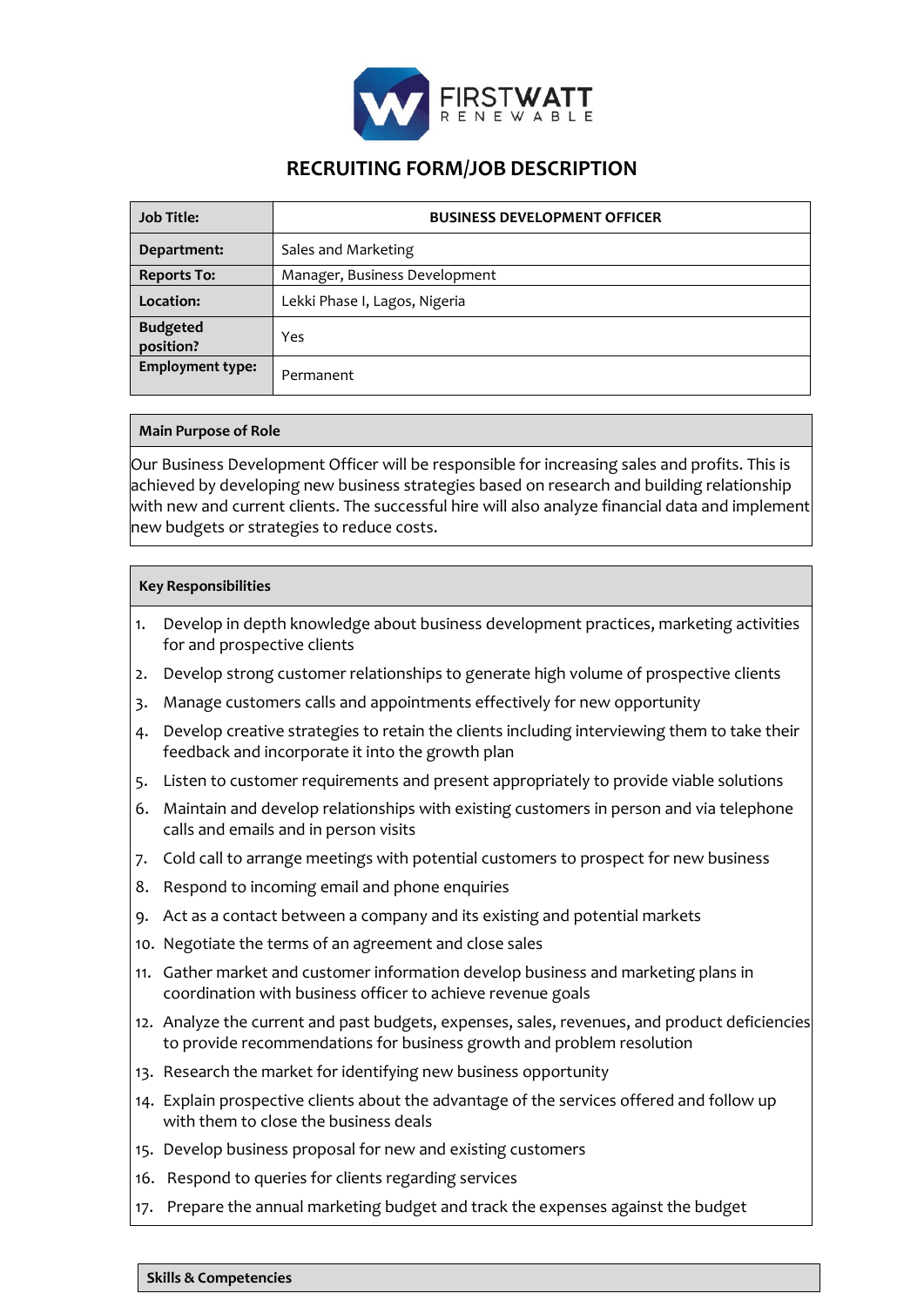

## **RECRUITING FORM/JOB DESCRIPTION**

| <b>Job Title:</b>            | <b>BUSINESS DEVELOPMENT OFFICER</b> |
|------------------------------|-------------------------------------|
| Department:                  | Sales and Marketing                 |
| <b>Reports To:</b>           | Manager, Business Development       |
| Location:                    | Lekki Phase I, Lagos, Nigeria       |
| <b>Budgeted</b><br>position? | Yes                                 |
| <b>Employment type:</b>      | Permanent                           |

## **Main Purpose of Role**

Our Business Development Officer will be responsible for increasing sales and profits. This is achieved by developing new business strategies based on research and building relationship with new and current clients. The successful hire will also analyze financial data and implement new budgets or strategies to reduce costs.

## **Key Responsibilities**

- 1. Develop in depth knowledge about business development practices, marketing activities for and prospective clients
- 2. Develop strong customer relationships to generate high volume of prospective clients
- 3. Manage customers calls and appointments effectively for new opportunity
- 4. Develop creative strategies to retain the clients including interviewing them to take their feedback and incorporate it into the growth plan
- 5. Listen to customer requirements and present appropriately to provide viable solutions
- 6. Maintain and develop relationships with existing customers in person and via telephone calls and emails and in person visits
- 7. Cold call to arrange meetings with potential customers to prospect for new business
- 8. Respond to incoming email and phone enquiries
- 9. Act as a contact between a company and its existing and potential markets
- 10. Negotiate the terms of an agreement and close sales
- 11. Gather market and customer information develop business and marketing plans in coordination with business officer to achieve revenue goals
- 12. Analyze the current and past budgets, expenses, sales, revenues, and product deficiencies to provide recommendations for business growth and problem resolution
- 13. Research the market for identifying new business opportunity
- 14. Explain prospective clients about the advantage of the services offered and follow up with them to close the business deals
- 15. Develop business proposal for new and existing customers
- 16. Respond to queries for clients regarding services
- 17. Prepare the annual marketing budget and track the expenses against the budget